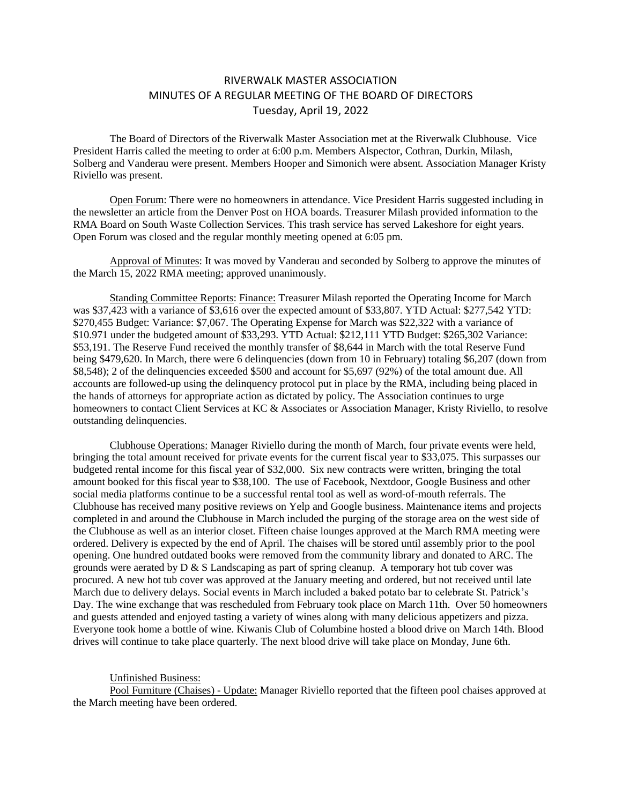## RIVERWALK MASTER ASSOCIATION MINUTES OF A REGULAR MEETING OF THE BOARD OF DIRECTORS Tuesday, April 19, 2022

The Board of Directors of the Riverwalk Master Association met at the Riverwalk Clubhouse. Vice President Harris called the meeting to order at 6:00 p.m. Members Alspector, Cothran, Durkin, Milash, Solberg and Vanderau were present. Members Hooper and Simonich were absent. Association Manager Kristy Riviello was present.

Open Forum: There were no homeowners in attendance. Vice President Harris suggested including in the newsletter an article from the Denver Post on HOA boards. Treasurer Milash provided information to the RMA Board on South Waste Collection Services. This trash service has served Lakeshore for eight years. Open Forum was closed and the regular monthly meeting opened at 6:05 pm.

Approval of Minutes: It was moved by Vanderau and seconded by Solberg to approve the minutes of the March 15, 2022 RMA meeting; approved unanimously.

Standing Committee Reports: Finance: Treasurer Milash reported the Operating Income for March was \$37,423 with a variance of \$3,616 over the expected amount of \$33,807. YTD Actual: \$277,542 YTD: \$270,455 Budget: Variance: \$7,067. The Operating Expense for March was \$22,322 with a variance of \$10.971 under the budgeted amount of \$33,293. YTD Actual: \$212,111 YTD Budget: \$265,302 Variance: \$53,191. The Reserve Fund received the monthly transfer of \$8,644 in March with the total Reserve Fund being \$479,620. In March, there were 6 delinquencies (down from 10 in February) totaling \$6,207 (down from \$8,548); 2 of the delinquencies exceeded \$500 and account for \$5,697 (92%) of the total amount due. All accounts are followed-up using the delinquency protocol put in place by the RMA, including being placed in the hands of attorneys for appropriate action as dictated by policy. The Association continues to urge homeowners to contact Client Services at KC & Associates or Association Manager, Kristy Riviello, to resolve outstanding delinquencies.

Clubhouse Operations: Manager Riviello during the month of March, four private events were held, bringing the total amount received for private events for the current fiscal year to \$33,075. This surpasses our budgeted rental income for this fiscal year of \$32,000. Six new contracts were written, bringing the total amount booked for this fiscal year to \$38,100. The use of Facebook, Nextdoor, Google Business and other social media platforms continue to be a successful rental tool as well as word-of-mouth referrals. The Clubhouse has received many positive reviews on Yelp and Google business. Maintenance items and projects completed in and around the Clubhouse in March included the purging of the storage area on the west side of the Clubhouse as well as an interior closet. Fifteen chaise lounges approved at the March RMA meeting were ordered. Delivery is expected by the end of April. The chaises will be stored until assembly prior to the pool opening. One hundred outdated books were removed from the community library and donated to ARC. The grounds were aerated by  $D \& S$  Landscaping as part of spring cleanup. A temporary hot tub cover was procured. A new hot tub cover was approved at the January meeting and ordered, but not received until late March due to delivery delays. Social events in March included a baked potato bar to celebrate St. Patrick's Day. The wine exchange that was rescheduled from February took place on March 11th. Over 50 homeowners and guests attended and enjoyed tasting a variety of wines along with many delicious appetizers and pizza. Everyone took home a bottle of wine. Kiwanis Club of Columbine hosted a blood drive on March 14th. Blood drives will continue to take place quarterly. The next blood drive will take place on Monday, June 6th.

Unfinished Business:

Pool Furniture (Chaises) - Update: Manager Riviello reported that the fifteen pool chaises approved at the March meeting have been ordered.